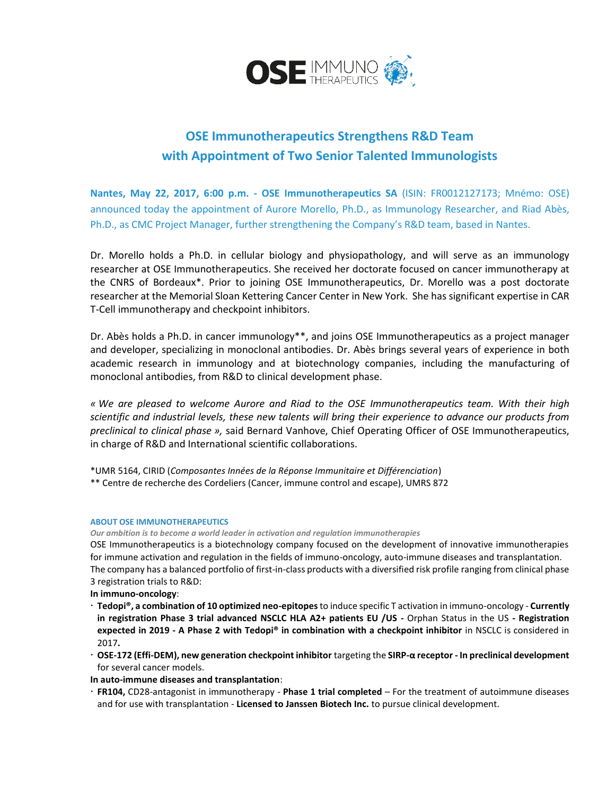

## **OSE Immunotherapeutics Strengthens R&D Team with Appointment of Two Senior Talented Immunologists**

**Nantes, May 22, 2017, 6:00 p.m. - OSE Immunotherapeutics SA** (ISIN: FR0012127173; Mnémo: OSE) announced today the appointment of Aurore Morello, Ph.D., as Immunology Researcher, and Riad Abès, Ph.D., as CMC Project Manager, further strengthening the Company's R&D team, based in Nantes.

Dr. Morello holds a Ph.D. in cellular biology and physiopathology, and will serve as an immunology researcher at OSE Immunotherapeutics. She received her doctorate focused on cancer immunotherapy at the CNRS of Bordeaux\*. Prior to joining OSE Immunotherapeutics, Dr. Morello was a post doctorate researcher at the Memorial Sloan Kettering Cancer Center in New York. She has significant expertise in CAR T-Cell immunotherapy and checkpoint inhibitors.

Dr. Abès holds a Ph.D. in cancer immunology\*\*, and joins OSE Immunotherapeutics as a project manager and developer, specializing in monoclonal antibodies. Dr. Abès brings several years of experience in both academic research in immunology and at biotechnology companies, including the manufacturing of monoclonal antibodies, from R&D to clinical development phase.

*« We are pleased to welcome Aurore and Riad to the OSE Immunotherapeutics team. With their high scientific and industrial levels, these new talents will bring their experience to advance our products from preclinical to clinical phase »,* said Bernard Vanhove, Chief Operating Officer of OSE Immunotherapeutics, in charge of R&D and International scientific collaborations.

\*UMR 5164, CIRID (*Composantes Innées de la Réponse Immunitaire et Différenciation*)

\*\* Centre de recherche des Cordeliers (Cancer, immune control and escape), UMRS 872

## **ABOUT OSE IMMUNOTHERAPEUTICS**

*Our ambition is to become a world leader in activation and regulation immunotherapies*

OSE Immunotherapeutics is a biotechnology company focused on the development of innovative immunotherapies for immune activation and regulation in the fields of immuno-oncology, auto-immune diseases and transplantation. The company has a balanced portfolio of first-in-class products with a diversified risk profile ranging from clinical phase 3 registration trials to R&D:

**In immuno-oncology**:

- **Tedopi®, a combination of 10 optimized neo-epitopes** to induce specific T activation in immuno-oncology **Currently in registration Phase 3 trial advanced NSCLC HLA A2+ patients EU /US -** Orphan Status in the US **- Registration expected in 2019 - A Phase 2 with Tedopi® in combination with a checkpoint inhibitor** in NSCLC is considered in 2017**.**
- **OSE-172 (Effi-DEM), new generation checkpoint inhibitor** targeting the **SIRP-α receptor - In preclinical development**  for several cancer models.

**In auto-immune diseases and transplantation**:

 **FR104,** CD28-antagonist in immunotherapy - **Phase 1 trial completed** – For the treatment of autoimmune diseases and for use with transplantation - **Licensed to Janssen Biotech Inc.** to pursue clinical development.